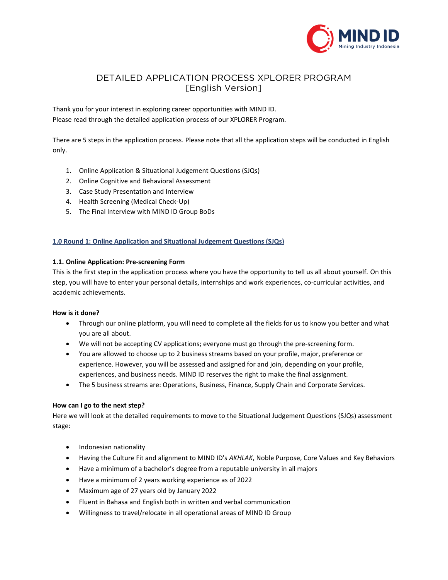

# DETAILED APPLICATION PROCESS XPLORER PROGRAM [English Version] [English Version]

Thank you for your interest in exploring career opportunities with MIND ID. Please read through the detailed application process of our XPLORER Program.

There are 5 steps in the application process. Please note that all the application steps will be conducted in English only.

- 1. Online Application & Situational Judgement Questions (SJQs)
- 2. Online Cognitive and Behavioral Assessment
- 3. Case Study Presentation and Interview
- 4. Health Screening (Medical Check-Up)
- 5. The Final Interview with MIND ID Group BoDs

# **1.0 Round 1: Online Application and Situational Judgement Questions (SJQs)**

### **1.1. Online Application: Pre-screening Form**

This is the first step in the application process where you have the opportunity to tell us all about yourself. On this step, you will have to enter your personal details, internships and work experiences, co-curricular activities, and academic achievements.

### **How is it done?**

- Through our online platform, you will need to complete all the fields for us to know you better and what you are all about.
- We will not be accepting CV applications; everyone must go through the pre-screening form.
- You are allowed to choose up to 2 business streams based on your profile, major, preference or experience. However, you will be assessed and assigned for and join, depending on your profile, experiences, and business needs. MIND ID reserves the right to make the final assignment.
- The 5 business streams are: Operations, Business, Finance, Supply Chain and Corporate Services.

# **How can I go to the next step?**

Here we will look at the detailed requirements to move to the Situational Judgement Questions (SJQs) assessment stage:

- Indonesian nationality
- Having the Culture Fit and alignment to MIND ID's *AKHLAK*, Noble Purpose, Core Values and Key Behaviors
- Have a minimum of a bachelor's degree from a reputable university in all majors
- Have a minimum of 2 years working experience as of 2022
- Maximum age of 27 years old by January 2022
- Fluent in Bahasa and English both in written and verbal communication
- Willingness to travel/relocate in all operational areas of MIND ID Group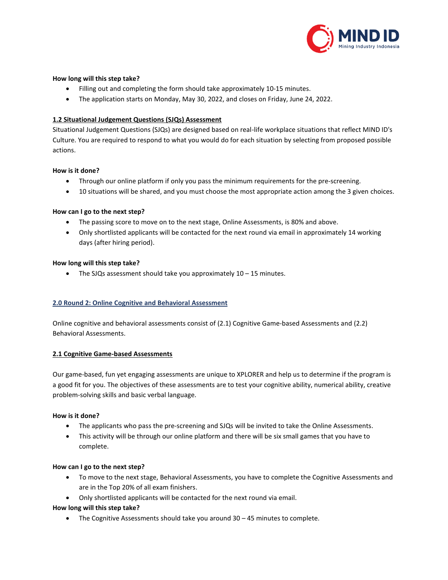

# **How long will this step take?**

- Filling out and completing the form should take approximately 10-15 minutes.
- The application starts on Monday, May 30, 2022, and closes on Friday, June 24, 2022.

### **1.2 Situational Judgement Questions (SJQs) Assessment**

Situational Judgement Questions (SJQs) are designed based on real-life workplace situations that reflect MIND ID's Culture. You are required to respond to what you would do for each situation by selecting from proposed possible actions.

### **How is it done?**

- Through our online platform if only you pass the minimum requirements for the pre-screening.
- 10 situations will be shared, and you must choose the most appropriate action among the 3 given choices.

### **How can I go to the next step?**

- The passing score to move on to the next stage, Online Assessments, is 80% and above.
- Only shortlisted applicants will be contacted for the next round via email in approximately 14 working days (after hiring period).

### **How long will this step take?**

• The SJQs assessment should take you approximately 10 – 15 minutes.

# **2.0 Round 2: Online Cognitive and Behavioral Assessment**

Online cognitive and behavioral assessments consist of (2.1) Cognitive Game-based Assessments and (2.2) Behavioral Assessments.

# **2.1 Cognitive Game-based Assessments**

Our game-based, fun yet engaging assessments are unique to XPLORER and help us to determine if the program is a good fit for you. The objectives of these assessments are to test your cognitive ability, numerical ability, creative problem-solving skills and basic verbal language.

### **How is it done?**

- The applicants who pass the pre-screening and SJQs will be invited to take the Online Assessments.
- This activity will be through our online platform and there will be six small games that you have to complete.

### **How can I go to the next step?**

- To move to the next stage, Behavioral Assessments, you have to complete the Cognitive Assessments and are in the Top 20% of all exam finishers.
- Only shortlisted applicants will be contacted for the next round via email.

# **How long will this step take?**

• The Cognitive Assessments should take you around 30 – 45 minutes to complete.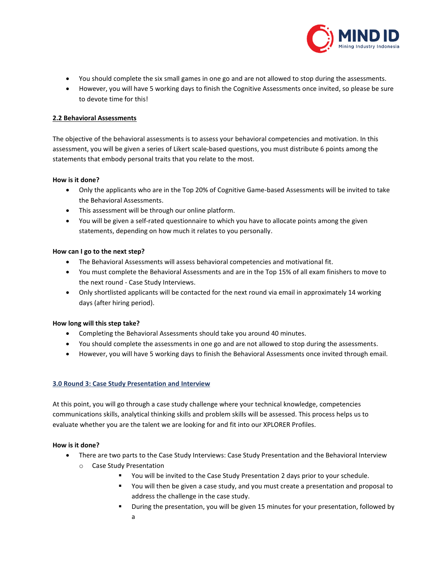

- You should complete the six small games in one go and are not allowed to stop during the assessments.
- However, you will have 5 working days to finish the Cognitive Assessments once invited, so please be sure to devote time for this!

### **2.2 Behavioral Assessments**

The objective of the behavioral assessments is to assess your behavioral competencies and motivation. In this assessment, you will be given a series of Likert scale-based questions, you must distribute 6 points among the statements that embody personal traits that you relate to the most.

### **How is it done?**

- Only the applicants who are in the Top 20% of Cognitive Game-based Assessments will be invited to take the Behavioral Assessments.
- This assessment will be through our online platform.
- You will be given a self-rated questionnaire to which you have to allocate points among the given statements, depending on how much it relates to you personally.

### **How can I go to the next step?**

- The Behavioral Assessments will assess behavioral competencies and motivational fit.
- You must complete the Behavioral Assessments and are in the Top 15% of all exam finishers to move to the next round - Case Study Interviews.
- Only shortlisted applicants will be contacted for the next round via email in approximately 14 working days (after hiring period).

### **How long will this step take?**

- Completing the Behavioral Assessments should take you around 40 minutes.
- You should complete the assessments in one go and are not allowed to stop during the assessments.
- However, you will have 5 working days to finish the Behavioral Assessments once invited through email.

### **3.0 Round 3: Case Study Presentation and Interview**

At this point, you will go through a case study challenge where your technical knowledge, competencies communications skills, analytical thinking skills and problem skills will be assessed. This process helps us to evaluate whether you are the talent we are looking for and fit into our XPLORER Profiles.

### **How is it done?**

- There are two parts to the Case Study Interviews: Case Study Presentation and the Behavioral Interview
	- o Case Study Presentation
		- You will be invited to the Case Study Presentation 2 days prior to your schedule.
		- You will then be given a case study, and you must create a presentation and proposal to address the challenge in the case study.
		- **■** During the presentation, you will be given 15 minutes for your presentation, followed by a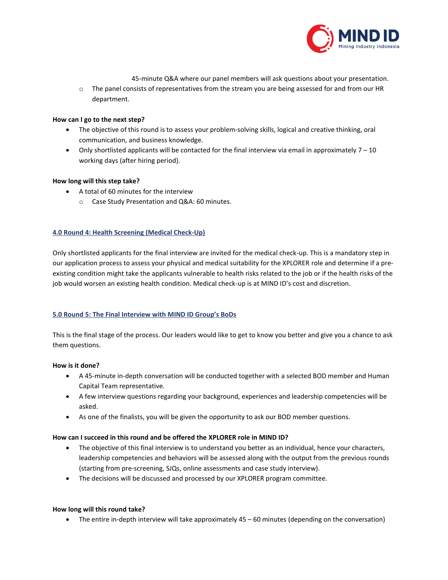

45-minute Q&A where our panel members will ask questions about your presentation.

o The panel consists of representatives from the stream you are being assessed for and from our HR department.

### **How can I go to the next step?**

- The objective of this round is to assess your problem-solving skills, logical and creative thinking, oral communication, and business knowledge.
- Only shortlisted applicants will be contacted for the final interview via email in approximately  $7 10$ working days (after hiring period).

### **How long will this step take?**

- A total of 60 minutes for the interview
	- o Case Study Presentation and Q&A: 60 minutes.

# **4.0 Round 4: Health Screening (Medical Check-Up)**

Only shortlisted applicants for the final interview are invited for the medical check-up. This is a mandatory step in our application process to assess your physical and medical suitability for the XPLORER role and determine if a preexisting condition might take the applicants vulnerable to health risks related to the job or if the health risks of the job would worsen an existing health condition. Medical check-up is at MIND ID's cost and discretion.

# **5.0 Round 5: The Final Interview with MIND ID Group's BoDs**

This is the final stage of the process. Our leaders would like to get to know you better and give you a chance to ask them questions.

### **How is it done?**

- A 45-minute in-depth conversation will be conducted together with a selected BOD member and Human Capital Team representative.
- A few interview questions regarding your background, experiences and leadership competencies will be asked.
- As one of the finalists, you will be given the opportunity to ask our BOD member questions.

### **How can I succeed in this round and be offered the XPLORER role in MIND ID?**

- The objective of this final interview is to understand you better as an individual, hence your characters, leadership competencies and behaviors will be assessed along with the output from the previous rounds (starting from pre-screening, SJQs, online assessments and case study interview).
- The decisions will be discussed and processed by our XPLORER program committee.

### **How long will this round take?**

• The entire in-depth interview will take approximately 45 – 60 minutes (depending on the conversation)